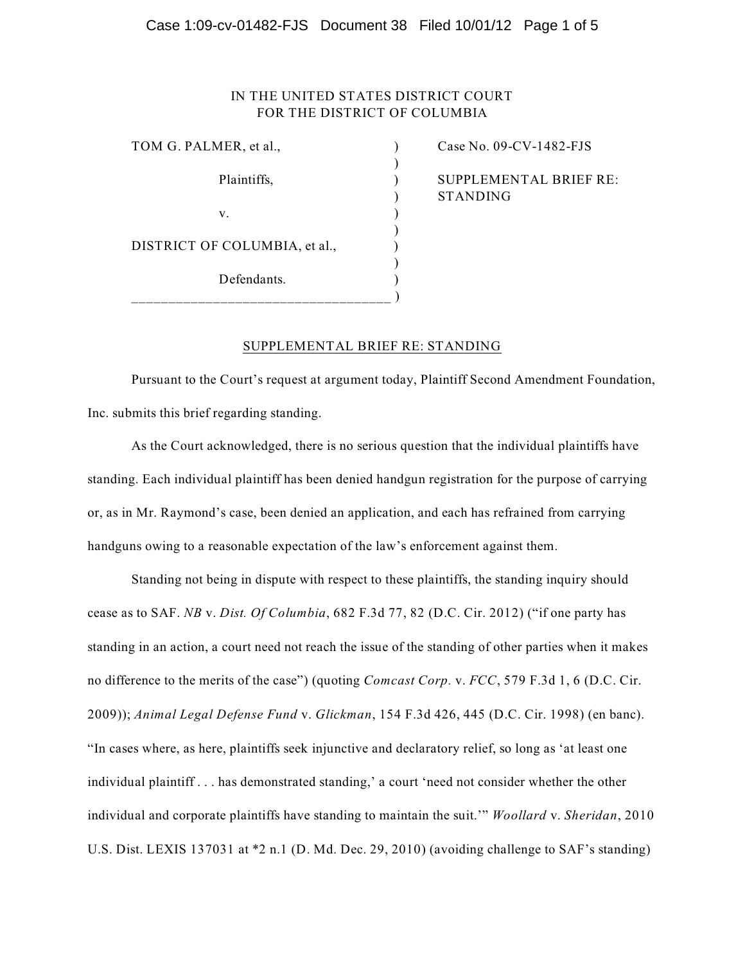### Case 1:09-cv-01482-FJS Document 38 Filed 10/01/12 Page 1 of 5

## IN THE UNITED STATES DISTRICT COURT FOR THE DISTRICT OF COLUMBIA

)

)

| TOM G. PALMER, et al.,        |  |
|-------------------------------|--|
| Plaintiffs,                   |  |
| V.                            |  |
| DISTRICT OF COLUMBIA, et al., |  |
| Defendants.                   |  |

 $\text{Case No. } 09\text{-CV-1482-FJS}$ ) SUPPLEMENTAL BRIEF RE: ) STANDING

## SUPPLEMENTAL BRIEF RE: STANDING

Pursuant to the Court's request at argument today, Plaintiff Second Amendment Foundation, Inc. submits this brief regarding standing.

As the Court acknowledged, there is no serious question that the individual plaintiffs have standing. Each individual plaintiff has been denied handgun registration for the purpose of carrying or, as in Mr. Raymond's case, been denied an application, and each has refrained from carrying handguns owing to a reasonable expectation of the law's enforcement against them.

Standing not being in dispute with respect to these plaintiffs, the standing inquiry should cease as to SAF. *NB* v. *Dist. Of Columbia*, 682 F.3d 77, 82 (D.C. Cir. 2012) ("if one party has standing in an action, a court need not reach the issue of the standing of other parties when it makes no difference to the merits of the case") (quoting *Comcast Corp.* v. *FCC*, 579 F.3d 1, 6 (D.C. Cir. 2009)); *Animal Legal Defense Fund* v. *Glickman*, 154 F.3d 426, 445 (D.C. Cir. 1998) (en banc). "In cases where, as here, plaintiffs seek injunctive and declaratory relief, so long as 'at least one individual plaintiff . . . has demonstrated standing,' a court 'need not consider whether the other individual and corporate plaintiffs have standing to maintain the suit.'" *Woollard* v. *Sheridan*, 2010 U.S. Dist. LEXIS 137031 at \*2 n.1 (D. Md. Dec. 29, 2010) (avoiding challenge to SAF's standing)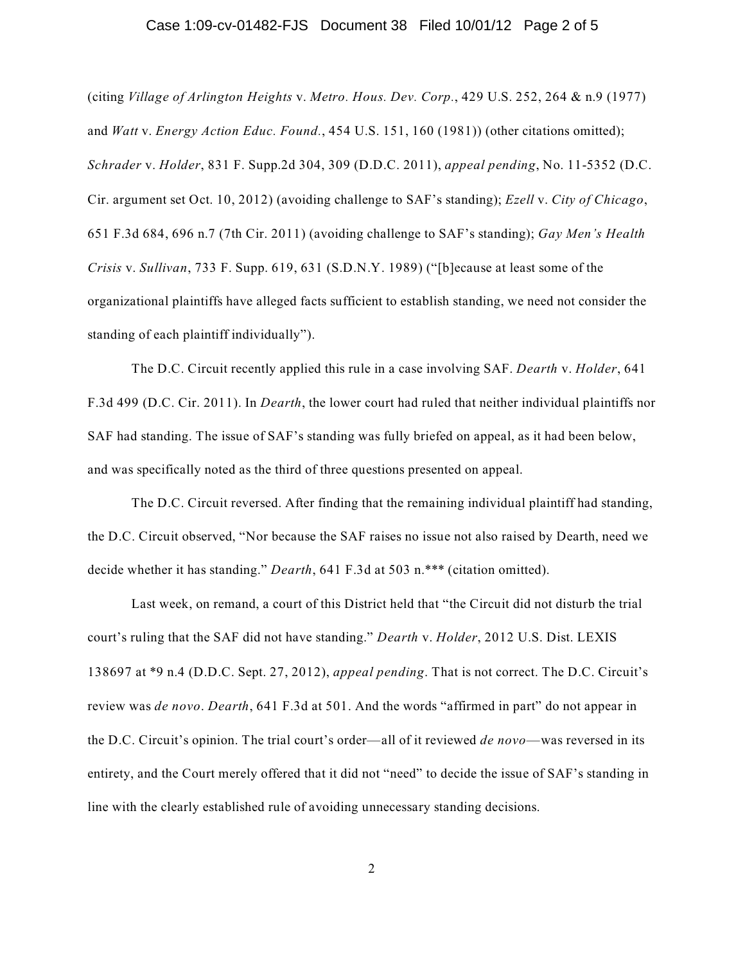#### Case 1:09-cv-01482-FJS Document 38 Filed 10/01/12 Page 2 of 5

(citing *Village of Arlington Heights* v. *Metro. Hous. Dev. Corp.*, 429 U.S. 252, 264 & n.9 (1977) and *Watt* v. *Energy Action Educ. Found.*, 454 U.S. 151, 160 (1981)) (other citations omitted); *Schrader* v. *Holder*, 831 F. Supp.2d 304, 309 (D.D.C. 2011), *appeal pending*, No. 11-5352 (D.C. Cir. argument set Oct. 10, 2012) (avoiding challenge to SAF's standing); *Ezell* v. *City of Chicago*, 651 F.3d 684, 696 n.7 (7th Cir. 2011) (avoiding challenge to SAF's standing); *Gay Men's Health Crisis* v. *Sullivan*, 733 F. Supp. 619, 631 (S.D.N.Y. 1989) ("[b]ecause at least some of the organizational plaintiffs have alleged facts sufficient to establish standing, we need not consider the standing of each plaintiff individually").

The D.C. Circuit recently applied this rule in a case involving SAF. *Dearth* v. *Holder*, 641 F.3d 499 (D.C. Cir. 2011). In *Dearth*, the lower court had ruled that neither individual plaintiffs nor SAF had standing. The issue of SAF's standing was fully briefed on appeal, as it had been below, and was specifically noted as the third of three questions presented on appeal.

The D.C. Circuit reversed. After finding that the remaining individual plaintiff had standing, the D.C. Circuit observed, "Nor because the SAF raises no issue not also raised by Dearth, need we decide whether it has standing." *Dearth*, 641 F.3d at 503 n.\*\*\* (citation omitted).

Last week, on remand, a court of this District held that "the Circuit did not disturb the trial court's ruling that the SAF did not have standing." *Dearth* v. *Holder*, 2012 U.S. Dist. LEXIS 138697 at \*9 n.4 (D.D.C. Sept. 27, 2012), *appeal pending*. That is not correct. The D.C. Circuit's review was *de novo*. *Dearth*, 641 F.3d at 501. And the words "affirmed in part" do not appear in the D.C. Circuit's opinion. The trial court's order—all of it reviewed *de novo*—was reversed in its entirety, and the Court merely offered that it did not "need" to decide the issue of SAF's standing in line with the clearly established rule of avoiding unnecessary standing decisions.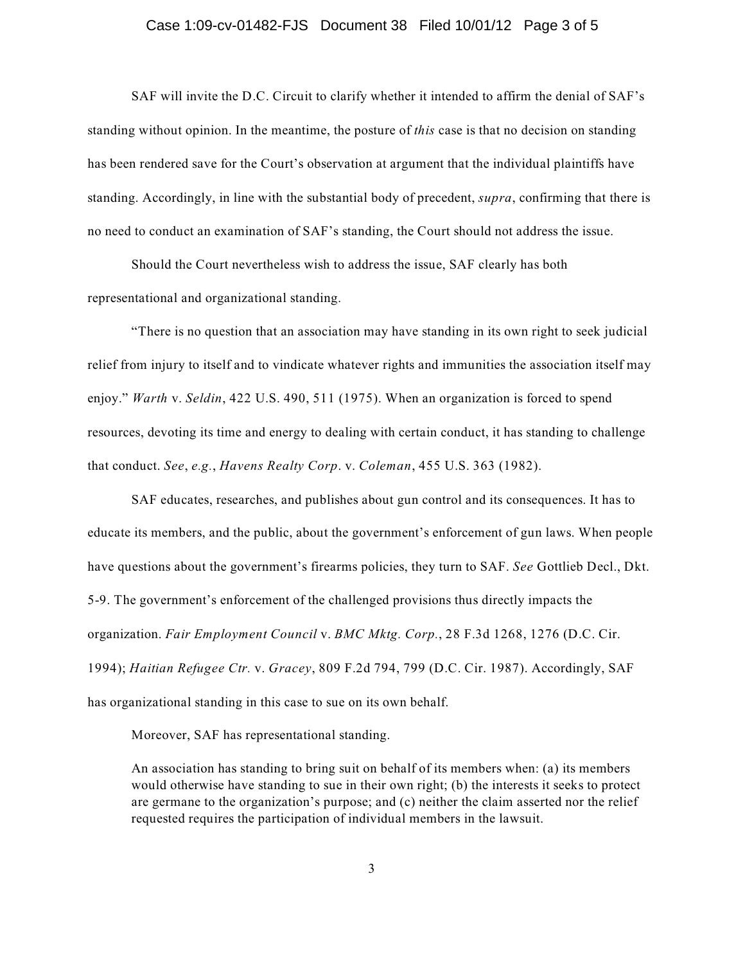#### Case 1:09-cv-01482-FJS Document 38 Filed 10/01/12 Page 3 of 5

SAF will invite the D.C. Circuit to clarify whether it intended to affirm the denial of SAF's standing without opinion. In the meantime, the posture of *this* case is that no decision on standing has been rendered save for the Court's observation at argument that the individual plaintiffs have standing. Accordingly, in line with the substantial body of precedent, *supra*, confirming that there is no need to conduct an examination of SAF's standing, the Court should not address the issue.

Should the Court nevertheless wish to address the issue, SAF clearly has both representational and organizational standing.

"There is no question that an association may have standing in its own right to seek judicial relief from injury to itself and to vindicate whatever rights and immunities the association itself may enjoy." *Warth* v. *Seldin*, 422 U.S. 490, 511 (1975). When an organization is forced to spend resources, devoting its time and energy to dealing with certain conduct, it has standing to challenge that conduct. *See*, *e.g.*, *Havens Realty Corp*. v. *Coleman*, 455 U.S. 363 (1982).

SAF educates, researches, and publishes about gun control and its consequences. It has to educate its members, and the public, about the government's enforcement of gun laws. When people have questions about the government's firearms policies, they turn to SAF. *See* Gottlieb Decl., Dkt. 5-9. The government's enforcement of the challenged provisions thus directly impacts the organization. *Fair Employment Council* v. *BMC Mktg. Corp.*, 28 F.3d 1268, 1276 (D.C. Cir. 1994); *Haitian Refugee Ctr.* v. *Gracey*, 809 F.2d 794, 799 (D.C. Cir. 1987). Accordingly, SAF has organizational standing in this case to sue on its own behalf.

Moreover, SAF has representational standing.

An association has standing to bring suit on behalf of its members when: (a) its members would otherwise have standing to sue in their own right; (b) the interests it seeks to protect are germane to the organization's purpose; and (c) neither the claim asserted nor the relief requested requires the participation of individual members in the lawsuit.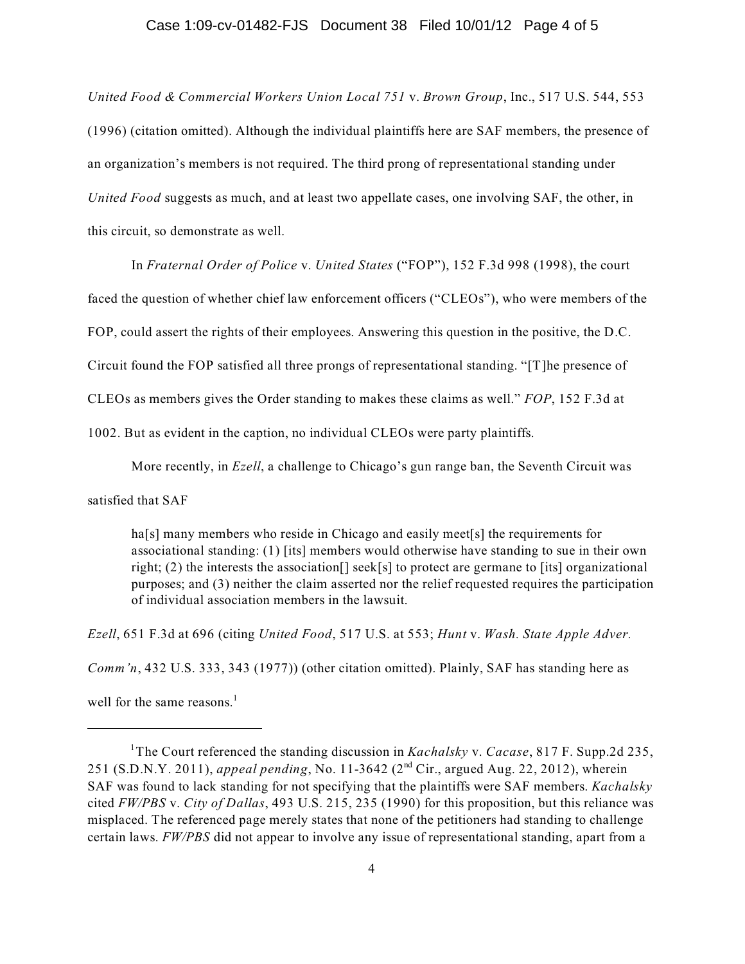# Case 1:09-cv-01482-FJS Document 38 Filed 10/01/12 Page 4 of 5

*United Food & Commercial Workers Union Local 751* v. *Brown Group*, Inc., 517 U.S. 544, 553 (1996) (citation omitted). Although the individual plaintiffs here are SAF members, the presence of an organization's members is not required. The third prong of representational standing under *United Food* suggests as much, and at least two appellate cases, one involving SAF, the other, in this circuit, so demonstrate as well.

In *Fraternal Order of Police* v. *United States* ("FOP"), 152 F.3d 998 (1998), the court

faced the question of whether chief law enforcement officers ("CLEOs"), who were members of the

FOP, could assert the rights of their employees. Answering this question in the positive, the D.C.

Circuit found the FOP satisfied all three prongs of representational standing. "[T]he presence of

CLEOs as members gives the Order standing to makes these claims as well." *FOP*, 152 F.3d at

1002. But as evident in the caption, no individual CLEOs were party plaintiffs.

More recently, in *Ezell*, a challenge to Chicago's gun range ban, the Seventh Circuit was

satisfied that SAF

ha<sup>[s]</sup> many members who reside in Chicago and easily meet<sup>[s]</sup> the requirements for associational standing: (1) [its] members would otherwise have standing to sue in their own right; (2) the interests the association[] seek[s] to protect are germane to [its] organizational purposes; and (3) neither the claim asserted nor the relief requested requires the participation of individual association members in the lawsuit.

*Ezell*, 651 F.3d at 696 (citing *United Food*, 517 U.S. at 553; *Hunt* v. *Wash. State Apple Adver.*

*Comm'n*, 432 U.S. 333, 343 (1977)) (other citation omitted). Plainly, SAF has standing here as

well for the same reasons. $<sup>1</sup>$ </sup>

<sup>&</sup>lt;sup>1</sup>The Court referenced the standing discussion in *Kachalsky v. Cacase*, 817 F. Supp.2d 235, 251 (S.D.N.Y. 2011), *appeal pending*, No. 11-3642 (2<sup>nd</sup> Cir., argued Aug. 22, 2012), wherein SAF was found to lack standing for not specifying that the plaintiffs were SAF members. *Kachalsky* cited *FW/PBS* v. *City of Dallas*, 493 U.S. 215, 235 (1990) for this proposition, but this reliance was misplaced. The referenced page merely states that none of the petitioners had standing to challenge certain laws. *FW/PBS* did not appear to involve any issue of representational standing, apart from a